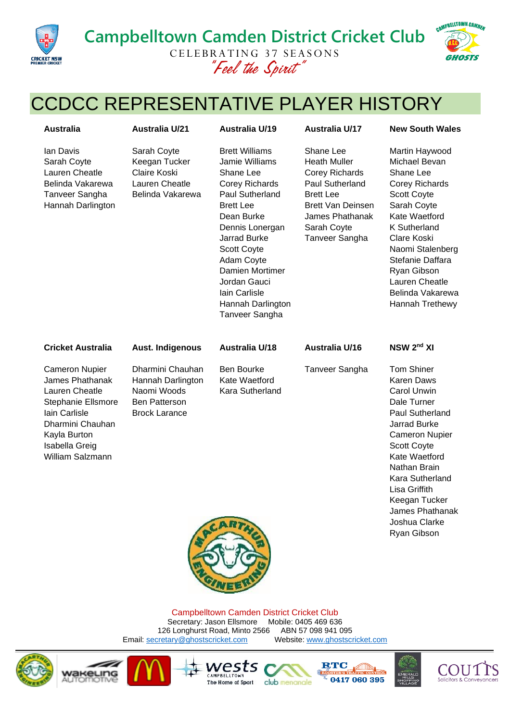

## **Campbelltown Camden District Cricket Club** CELEBRATING 37 SEASONS *"Feel the Spirit"*



# CCDCC REPRESENTATIVE PLAYER HISTORY

|                                                                                                      |                                                                                                                                                                                                                                                                                                                    |                                                                                                                                                                                  | <b>New South Wales</b>                                                                                                                                                                                                                                                           |
|------------------------------------------------------------------------------------------------------|--------------------------------------------------------------------------------------------------------------------------------------------------------------------------------------------------------------------------------------------------------------------------------------------------------------------|----------------------------------------------------------------------------------------------------------------------------------------------------------------------------------|----------------------------------------------------------------------------------------------------------------------------------------------------------------------------------------------------------------------------------------------------------------------------------|
| Sarah Coyte<br>Keegan Tucker<br>Claire Koski<br>Lauren Cheatle<br>Belinda Vakarewa                   | <b>Brett Williams</b><br>Jamie Williams<br>Shane Lee<br><b>Corey Richards</b><br><b>Paul Sutherland</b><br><b>Brett Lee</b><br>Dean Burke<br>Dennis Lonergan<br><b>Jarrad Burke</b><br><b>Scott Coyte</b><br>Adam Coyte<br>Damien Mortimer<br>Jordan Gauci<br>Iain Carlisle<br>Hannah Darlington<br>Tanveer Sangha | Shane Lee<br><b>Heath Muller</b><br><b>Corey Richards</b><br>Paul Sutherland<br><b>Brett Lee</b><br><b>Brett Van Deinsen</b><br>James Phathanak<br>Sarah Coyte<br>Tanveer Sangha | Martin Haywood<br>Michael Bevan<br>Shane Lee<br>Corey Richards<br>Scott Coyte<br>Sarah Coyte<br>Kate Waetford<br>K Sutherland<br>Clare Koski<br>Naomi Stalenberg<br>Stefanie Daffara<br>Ryan Gibson<br>Lauren Cheatle<br>Belinda Vakarewa<br>Hannah Trethewy                     |
| <b>Aust. Indigenous</b>                                                                              | <b>Australia U/18</b>                                                                                                                                                                                                                                                                                              | <b>Australia U/16</b>                                                                                                                                                            | NSW 2 <sup>nd</sup> XI                                                                                                                                                                                                                                                           |
| Dharmini Chauhan<br>Hannah Darlington<br>Naomi Woods<br><b>Ben Patterson</b><br><b>Brock Larance</b> | <b>Ben Bourke</b><br>Kate Waetford<br>Kara Sutherland                                                                                                                                                                                                                                                              | Tanveer Sangha                                                                                                                                                                   | <b>Tom Shiner</b><br><b>Karen Daws</b><br><b>Carol Unwin</b><br>Dale Turner<br>Paul Sutherland<br>Jarrad Burke<br><b>Cameron Nupier</b><br>Scott Coyte<br>Kate Waetford<br>Nathan Brain<br>Kara Sutherland<br>Lisa Griffith<br>Keegan Tucker<br>James Phathanak<br>Joshua Clarke |
|                                                                                                      | <b>Australia U/21</b>                                                                                                                                                                                                                                                                                              | <b>Australia U/19</b><br>CARTH                                                                                                                                                   | <b>Australia U/17</b>                                                                                                                                                                                                                                                            |



Campbelltown Camden District Cricket Club Secretary: Jason Ellsmore Mobile: 0405 469 636<br>6 Longhurst Road, Minto 2566 ABN 57 098 941 095 126 Longhurst Road, Minto 2566 ABN 57 098 941 095<br>
Stretary@ghostscricket.com Website: www.ghostscricket.com Email[: secretary@ghostscricket.com](mailto:secretary@ghostscricket.com)









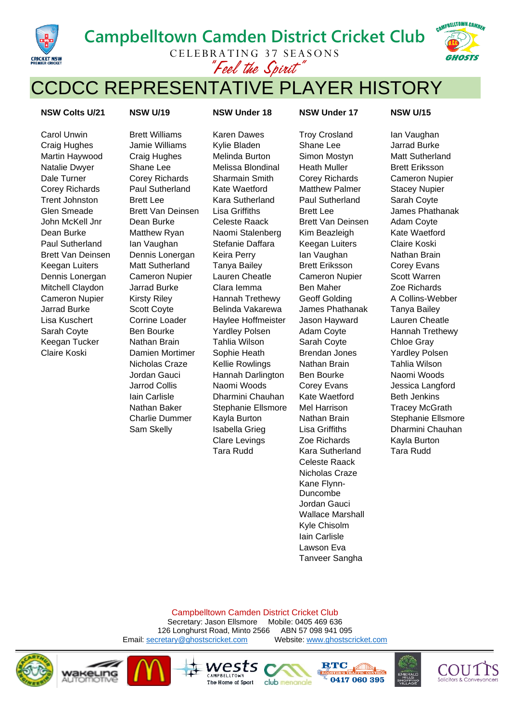# **Campbelltown Camden District Cricket Club**



CELEBRATING 37 SEASONS *"Feel the Spirit"*

## CCDCC REPRESENTATIVE PLAYER HISTORY

### **NSW Colts U/21 NSW U/19 NSW Under 18 NSW Under 17 NSW U/15**

**CRICKET NSW**<br>PREMIER CRICKET

Carol Unwin **Brett Williams** Karen Dawes Troy Crosland Ian Vaughan

Craig Hughes Jamie Williams Kylie Bladen Shane Lee Jarrad Burke Martin Haywood Craig Hughes Melinda Burton Simon Mostyn Matt Sutherland Natalie Dwyer Shane Lee Melissa Blondinal Heath Muller Brett Eriksson Dale Turner Corey Richards Sharmain Smith Corey Richards Cameron Nupier Corey Richards Paul Sutherland Kate Waetford Matthew Palmer Stacey Nupier Trent Johnston Brett Lee Kara Sutherland Paul Sutherland Sarah Coyte Glen Smeade Brett Van Deinsen Lisa Griffiths Brett Lee Brett Lee James Phathanak John McKell Jnr Dean Burke Celeste Raack Brett Van Deinsen Adam Coyte Dean Burke Matthew Ryan Naomi Stalenberg Kim Beazleigh Kate Waetford Paul Sutherland Ian Vaughan Stefanie Daffara Keegan Luiters Claire Koski Brett Van Deinsen Dennis Lonergan Keira Perry Ian Vaughan Nathan Brain Keegan Luiters Matt Sutherland Tanya Bailey Brett Eriksson Corey Evans Dennis Lonergan Cameron Nupier Lauren Cheatle Cameron Nupier Scott Warren Mitchell Claydon Jarrad Burke Clara Iemma Ben Maher Zoe Richards Cameron Nupier Kirsty Riley Hannah Trethewy Geoff Golding A Collins-Webber Jarrad Burke Scott Coyte Belinda Vakarewa James Phathanak Tanya Bailey Lisa Kuschert Corrine Loader Haylee Hoffmeister Jason Hayward Lauren Cheatle Sarah Coyte Ben Bourke Yardley Polsen Adam Coyte Hannah Trethewy Keegan Tucker Nathan Brain Tahlia Wilson Sarah Coyte Chloe Gray Claire Koski Damien Mortimer Sophie Heath Brendan Jones Yardley Polsen Nicholas Craze Kellie Rowlings Nathan Brain Tahlia Wilson Jordan Gauci Hannah Darlington Ben Bourke Naomi Woods Jarrod Collis Naomi Woods Corey Evans Jessica Langford Iain Carlisle **Dharmini Chauhan** Kate Waetford Beth Jenkins Nathan Baker Stephanie Ellsmore Mel Harrison Tracey McGrath Clare Levings Zoe Richards Kayla Burton Tara Rudd Kara Sutherland Tara Rudd

Celeste Raack Nicholas Craze Kane Flynn-Duncombe Jordan Gauci Wallace Marshall Kyle Chisolm Iain Carlisle Lawson Eva Tanveer Sangha

Charlie Dummer Kayla Burton Nathan Brain Stephanie Ellsmore Sam Skelly Isabella Grieg Lisa Griffiths Dharmini Chauhan

Campbelltown Camden District Cricket Club

Secretary: Jason Ellsmore Mobile: 0405 469 636 126 Longhurst Road, Minto 2566 ABN 57 098 941 095<br>
cretary@ghostscricket.com Website: www.ghostscricket.com Email[: secretary@ghostscricket.com](mailto:secretary@ghostscricket.com)